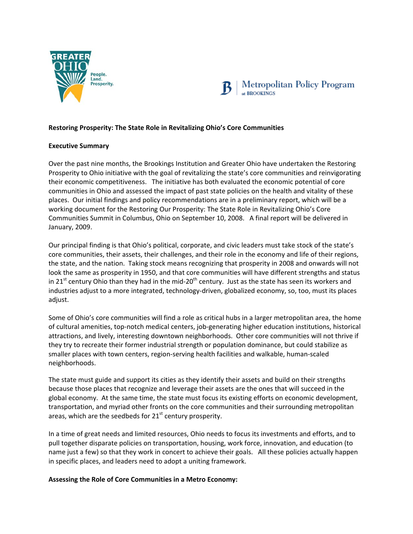



## **Restoring Prosperity: The State Role in Revitalizing Ohio's Core Communities**

## **Executive Summary**

Over the past nine months, the Brookings Institution and Greater Ohio have undertaken the Restoring Prosperity to Ohio initiative with the goal of revitalizing the state's core communities and reinvigorating their economic competitiveness. The initiative has both evaluated the economic potential of core communities in Ohio and assessed the impact of past state policies on the health and vitality of these places. Our initial findings and policy recommendations are in a preliminary report, which will be a working document for the Restoring Our Prosperity: The State Role in Revitalizing Ohio's Core Communities Summit in Columbus, Ohio on September 10, 2008. A final report will be delivered in January, 2009.

Our principal finding is that Ohio's political, corporate, and civic leaders must take stock of the state's core communities, their assets, their challenges, and their role in the economy and life of their regions, the state, and the nation. Taking stock means recognizing that prosperity in 2008 and onwards will not look the same as prosperity in 1950, and that core communities will have different strengths and status in 21<sup>st</sup> century Ohio than they had in the mid-20<sup>th</sup> century. Just as the state has seen its workers and industries adjust to a more integrated, technology‐driven, globalized economy, so, too, must its places adjust.

Some of Ohio's core communities will find a role as critical hubs in a larger metropolitan area, the home of cultural amenities, top‐notch medical centers, job‐generating higher education institutions, historical attractions, and lively, interesting downtown neighborhoods. Other core communities will not thrive if they try to recreate their former industrial strength or population dominance, but could stabilize as smaller places with town centers, region‐serving health facilities and walkable, human‐scaled neighborhoods.

The state must guide and support its cities as they identify their assets and build on their strengths because those places that recognize and leverage their assets are the ones that will succeed in the global economy. At the same time, the state must focus its existing efforts on economic development, transportation, and myriad other fronts on the core communities and their surrounding metropolitan areas, which are the seedbeds for  $21<sup>st</sup>$  century prosperity.

In a time of great needs and limited resources, Ohio needs to focus its investments and efforts, and to pull together disparate policies on transportation, housing, work force, innovation, and education (to name just a few) so that they work in concert to achieve their goals. All these policies actually happen in specific places, and leaders need to adopt a uniting framework.

## **Assessing the Role of Core Communities in a Metro Economy:**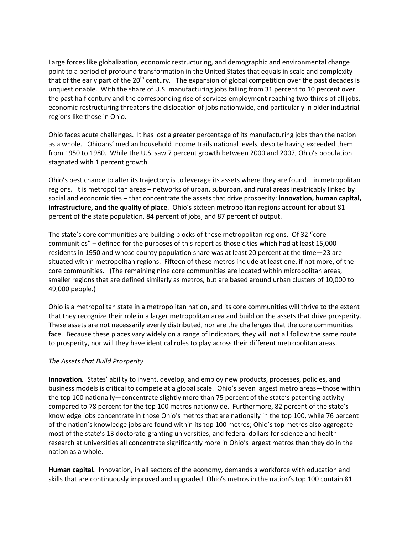Large forces like globalization, economic restructuring, and demographic and environmental change point to a period of profound transformation in the United States that equals in scale and complexity that of the early part of the  $20<sup>th</sup>$  century. The expansion of global competition over the past decades is unquestionable. With the share of U.S. manufacturing jobs falling from 31 percent to 10 percent over the past half century and the corresponding rise of services employment reaching two‐thirds of all jobs, economic restructuring threatens the dislocation of jobs nationwide, and particularly in older industrial regions like those in Ohio.

Ohio faces acute challenges. It has lost a greater percentage of its manufacturing jobs than the nation as a whole. Ohioans' median household income trails national levels, despite having exceeded them from 1950 to 1980. While the U.S. saw 7 percent growth between 2000 and 2007, Ohio's population stagnated with 1 percent growth.

Ohio's best chance to alter its trajectory is to leverage its assets where they are found—in metropolitan regions. It is metropolitan areas – networks of urban, suburban, and rural areas inextricably linked by social and economic ties – that concentrate the assets that drive prosperity: **innovation, human capital, infrastructure, and the quality of place**. Ohio's sixteen metropolitan regions account for about 81 percent of the state population, 84 percent of jobs, and 87 percent of output.

The state's core communities are building blocks of these metropolitan regions. Of 32 "core communities" – defined for the purposes of this report as those cities which had at least 15,000 residents in 1950 and whose county population share was at least 20 percent at the time—23 are situated within metropolitan regions. Fifteen of these metros include at least one, if not more, of the core communities. (The remaining nine core communities are located within micropolitan areas, smaller regions that are defined similarly as metros, but are based around urban clusters of 10,000 to 49,000 people.)

Ohio is a metropolitan state in a metropolitan nation, and its core communities will thrive to the extent that they recognize their role in a larger metropolitan area and build on the assets that drive prosperity. These assets are not necessarily evenly distributed, nor are the challenges that the core communities face. Because these places vary widely on a range of indicators, they will not all follow the same route to prosperity, nor will they have identical roles to play across their different metropolitan areas.

## *The Assets that Build Prosperity*

**Innovation***.* States' ability to invent, develop, and employ new products, processes, policies, and business models is critical to compete at a global scale. Ohio's seven largest metro areas—those within the top 100 nationally—concentrate slightly more than 75 percent of the state's patenting activity compared to 78 percent for the top 100 metros nationwide. Furthermore, 82 percent of the state's knowledge jobs concentrate in those Ohio's metros that are nationally in the top 100, while 76 percent of the nation's knowledge jobs are found within its top 100 metros; Ohio's top metros also aggregate most of the state's 13 doctorate‐granting universities, and federal dollars for science and health research at universities all concentrate significantly more in Ohio's largest metros than they do in the nation as a whole.

**Human capital***.* Innovation, in all sectors of the economy, demands a workforce with education and skills that are continuously improved and upgraded. Ohio's metros in the nation's top 100 contain 81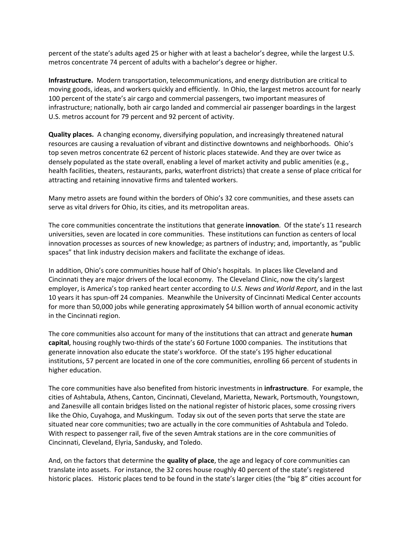percent of the state's adults aged 25 or higher with at least a bachelor's degree, while the largest U.S. metros concentrate 74 percent of adults with a bachelor's degree or higher.

**Infrastructure.** Modern transportation, telecommunications, and energy distribution are critical to moving goods, ideas, and workers quickly and efficiently. In Ohio, the largest metros account for nearly 100 percent of the state's air cargo and commercial passengers, two important measures of infrastructure; nationally, both air cargo landed and commercial air passenger boardings in the largest U.S. metros account for 79 percent and 92 percent of activity.

**Quality places.** A changing economy, diversifying population, and increasingly threatened natural resources are causing a revaluation of vibrant and distinctive downtowns and neighborhoods. Ohio's top seven metros concentrate 62 percent of historic places statewide. And they are over twice as densely populated as the state overall, enabling a level of market activity and public amenities (e.g., health facilities, theaters, restaurants, parks, waterfront districts) that create a sense of place critical for attracting and retaining innovative firms and talented workers.

Many metro assets are found within the borders of Ohio's 32 core communities, and these assets can serve as vital drivers for Ohio, its cities, and its metropolitan areas.

The core communities concentrate the institutions that generate **innovation**. Of the state's 11 research universities, seven are located in core communities. These institutions can function as centers of local innovation processes as sources of new knowledge; as partners of industry; and, importantly, as "public spaces" that link industry decision makers and facilitate the exchange of ideas.

In addition, Ohio's core communities house half of Ohio's hospitals. In places like Cleveland and Cincinnati they are major drivers of the local economy. The Cleveland Clinic, now the city's largest employer, is America's top ranked heart center according to *U.S. News and World Report*, and in the last 10 years it has spun‐off 24 companies. Meanwhile the University of Cincinnati Medical Center accounts for more than 50,000 jobs while generating approximately \$4 billion worth of annual economic activity in the Cincinnati region.

The core communities also account for many of the institutions that can attract and generate **human capital**, housing roughly two‐thirds of the state's 60 Fortune 1000 companies. The institutions that generate innovation also educate the state's workforce. Of the state's 195 higher educational institutions, 57 percent are located in one of the core communities, enrolling 66 percent of students in higher education.

The core communities have also benefited from historic investments in **infrastructure**. For example, the cities of Ashtabula, Athens, Canton, Cincinnati, Cleveland, Marietta, Newark, Portsmouth, Youngstown, and Zanesville all contain bridges listed on the national register of historic places, some crossing rivers like the Ohio, Cuyahoga, and Muskingum. Today six out of the seven ports that serve the state are situated near core communities; two are actually in the core communities of Ashtabula and Toledo. With respect to passenger rail, five of the seven Amtrak stations are in the core communities of Cincinnati, Cleveland, Elyria, Sandusky, and Toledo.

And, on the factors that determine the **quality of place**, the age and legacy of core communities can translate into assets. For instance, the 32 cores house roughly 40 percent of the state's registered historic places. Historic places tend to be found in the state's larger cities (the "big 8" cities account for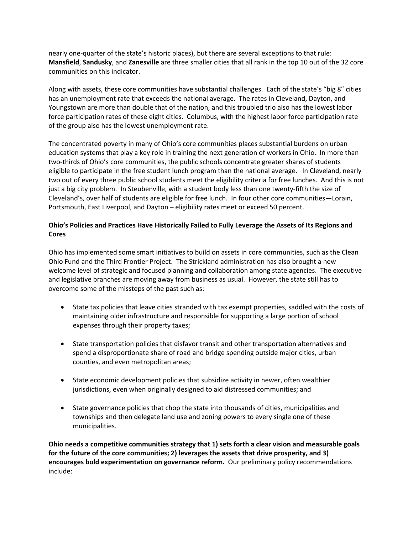nearly one‐quarter of the state's historic places), but there are several exceptions to that rule: **Mansfield**, **Sandusky**, and **Zanesville** are three smaller cities that all rank in the top 10 out of the 32 core communities on this indicator.

Along with assets, these core communities have substantial challenges. Each of the state's "big 8" cities has an unemployment rate that exceeds the national average. The rates in Cleveland, Dayton, and Youngstown are more than double that of the nation, and this troubled trio also has the lowest labor force participation rates of these eight cities. Columbus, with the highest labor force participation rate of the group also has the lowest unemployment rate.

The concentrated poverty in many of Ohio's core communities places substantial burdens on urban education systems that play a key role in training the next generation of workers in Ohio. In more than two‐thirds of Ohio's core communities, the public schools concentrate greater shares of students eligible to participate in the free student lunch program than the national average. In Cleveland, nearly two out of every three public school students meet the eligibility criteria for free lunches. And this is not just a big city problem. In Steubenville, with a student body less than one twenty-fifth the size of Cleveland's, over half of students are eligible for free lunch. In four other core communities—Lorain, Portsmouth, East Liverpool, and Dayton – eligibility rates meet or exceed 50 percent.

# **Ohio's Policies and Practices Have Historically Failed to Fully Leverage the Assets of Its Regions and Cores**

Ohio has implemented some smart initiatives to build on assets in core communities, such as the Clean Ohio Fund and the Third Frontier Project. The Strickland administration has also brought a new welcome level of strategic and focused planning and collaboration among state agencies. The executive and legislative branches are moving away from business as usual. However, the state still has to overcome some of the missteps of the past such as:

- State tax policies that leave cities stranded with tax exempt properties, saddled with the costs of maintaining older infrastructure and responsible for supporting a large portion of school expenses through their property taxes;
- State transportation policies that disfavor transit and other transportation alternatives and spend a disproportionate share of road and bridge spending outside major cities, urban counties, and even metropolitan areas;
- State economic development policies that subsidize activity in newer, often wealthier jurisdictions, even when originally designed to aid distressed communities; and
- State governance policies that chop the state into thousands of cities, municipalities and townships and then delegate land use and zoning powers to every single one of these municipalities.

**Ohio needs a competitive communities strategy that 1) sets forth a clear vision and measurable goals for the future of the core communities; 2) leverages the assets that drive prosperity, and 3) encourages bold experimentation on governance reform.** Our preliminary policy recommendations include: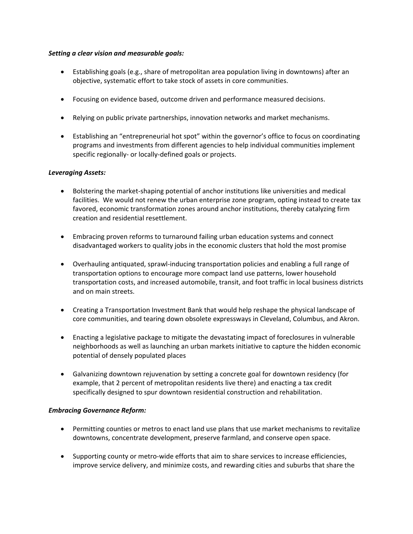#### *Setting a clear vision and measurable goals:*

- Establishing goals (e.g., share of metropolitan area population living in downtowns) after an objective, systematic effort to take stock of assets in core communities.
- Focusing on evidence based, outcome driven and performance measured decisions.
- Relying on public private partnerships, innovation networks and market mechanisms.
- Establishing an "entrepreneurial hot spot" within the governor's office to focus on coordinating programs and investments from different agencies to help individual communities implement specific regionally‐ or locally‐defined goals or projects.

## *Leveraging Assets:*

- Bolstering the market‐shaping potential of anchor institutions like universities and medical facilities. We would not renew the urban enterprise zone program, opting instead to create tax favored, economic transformation zones around anchor institutions, thereby catalyzing firm creation and residential resettlement.
- Embracing proven reforms to turnaround failing urban education systems and connect disadvantaged workers to quality jobs in the economic clusters that hold the most promise
- Overhauling antiquated, sprawl‐inducing transportation policies and enabling a full range of transportation options to encourage more compact land use patterns, lower household transportation costs, and increased automobile, transit, and foot traffic in local business districts and on main streets.
- Creating a Transportation Investment Bank that would help reshape the physical landscape of core communities, and tearing down obsolete expressways in Cleveland, Columbus, and Akron.
- Enacting a legislative package to mitigate the devastating impact of foreclosures in vulnerable neighborhoods as well as launching an urban markets initiative to capture the hidden economic potential of densely populated places
- Galvanizing downtown rejuvenation by setting a concrete goal for downtown residency (for example, that 2 percent of metropolitan residents live there) and enacting a tax credit specifically designed to spur downtown residential construction and rehabilitation.

## *Embracing Governance Reform:*

- Permitting counties or metros to enact land use plans that use market mechanisms to revitalize downtowns, concentrate development, preserve farmland, and conserve open space.
- Supporting county or metro-wide efforts that aim to share services to increase efficiencies, improve service delivery, and minimize costs, and rewarding cities and suburbs that share the